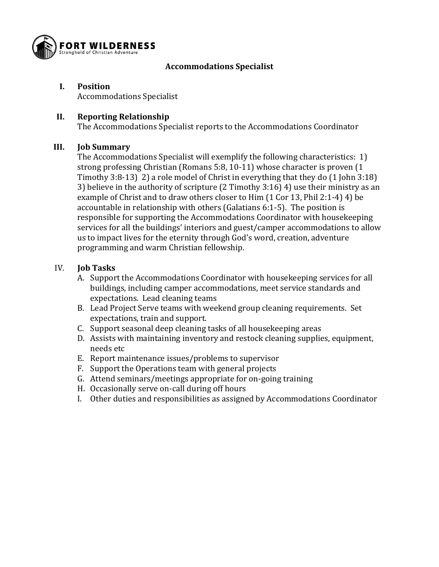

## **Accommodations Specialist**

### **I. Position**

Accommodations Specialist

## **II. Reporting Relationship**

The Accommodations Specialist reports to the Accommodations Coordinator

#### **III. Job Summary**

The Accommodations Specialist will exemplify the following characteristics: 1) strong professing Christian (Romans 5:8, 10-11) whose character is proven (1 Timothy 3:8-13) 2) a role model of Christ in everything that they do (1 John 3:18) 3) believe in the authority of scripture (2 Timothy 3:16) 4) use their ministry as an example of Christ and to draw others closer to Him (1 Cor 13, Phil 2:1-4) 4) be accountable in relationship with others (Galatians 6:1-5). The position is responsible for supporting the Accommodations Coordinator with housekeeping services for all the buildings' interiors and guest/camper accommodations to allow us to impact lives for the eternity through God's word, creation, adventure programming and warm Christian fellowship.

## IV. **Job Tasks**

- A. Support the Accommodations Coordinator with housekeeping services for all buildings, including camper accommodations, meet service standards and expectations. Lead cleaning teams
- B. Lead Project Serve teams with weekend group cleaning requirements. Set expectations, train and support.
- C. Support seasonal deep cleaning tasks of all housekeeping areas
- D. Assists with maintaining inventory and restock cleaning supplies, equipment, needs etc
- E. Report maintenance issues/problems to supervisor
- F. Support the Operations team with general projects
- G. Attend seminars/meetings appropriate for on-going training
- H. Occasionally serve on-call during off hours
- I. Other duties and responsibilities as assigned by Accommodations Coordinator